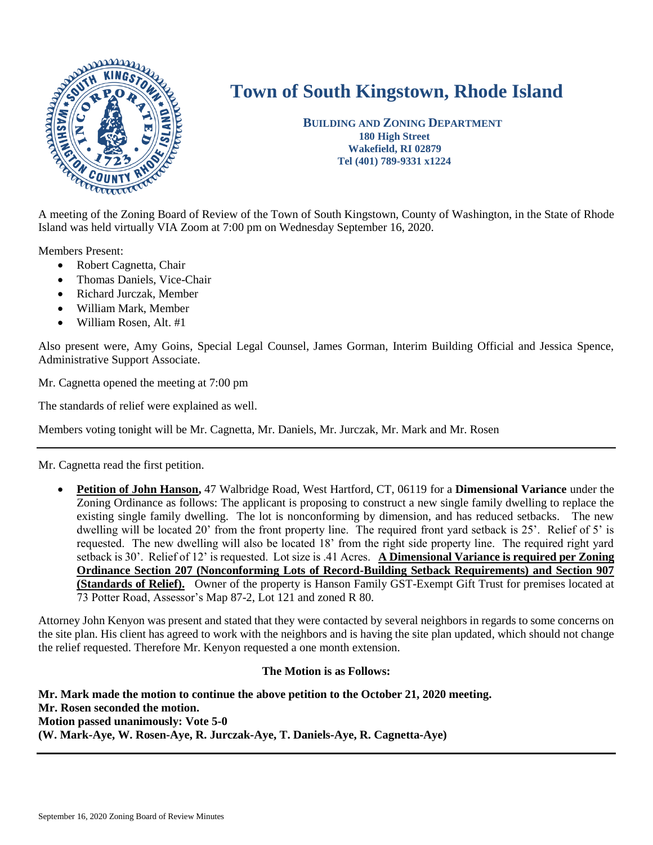

# **Town of South Kingstown, Rhode Island**

 **BUILDING AND ZONING DEPARTMENT 180 High Street Wakefield, RI 02879 Tel (401) 789-9331 x1224**

Island was held virtually VIA Zoom at 7:00 pm on Wednesday September 16, 2020.

Members Present:

- Robert Cagnetta, Chair
- Thomas Daniels, Vice-Chair
- Richard Jurczak, Member
- William Mark, Member
- William Rosen, Alt. #1

Also present were, Amy Goins, Special Legal Counsel, James Gorman, Interim Building Official and Jessica Spence, Administrative Support Associate.

Mr. Cagnetta opened the meeting at 7:00 pm

The standards of relief were explained as well.

Members voting tonight will be Mr. Cagnetta, Mr. Daniels, Mr. Jurczak, Mr. Mark and Mr. Rosen

Mr. Cagnetta read the first petition.

 **Petition of John Hanson,** 47 Walbridge Road, West Hartford, CT, 06119 for a **Dimensional Variance** under the Zoning Ordinance as follows: The applicant is proposing to construct a new single family dwelling to replace the existing single family dwelling. The lot is nonconforming by dimension, and has reduced setbacks. The new dwelling will be located 20' from the front property line. The required front yard setback is 25'. Relief of 5' is requested. The new dwelling will also be located 18' from the right side property line. The required right yard setback is 30'. Relief of 12' is requested. Lot size is .41 Acres. **A Dimensional Variance is required per Zoning Ordinance Section 207 (Nonconforming Lots of Record-Building Setback Requirements) and Section 907 (Standards of Relief).** Owner of the property is Hanson Family GST-Exempt Gift Trust for premises located at 73 Potter Road, Assessor's Map 87-2, Lot 121 and zoned R 80.

Attorney John Kenyon was present and stated that they were contacted by several neighbors in regards to some concerns on the site plan. His client has agreed to work with the neighbors and is having the site plan updated, which should not change the relief requested. Therefore Mr. Kenyon requested a one month extension.

#### **The Motion is as Follows:**

**Mr. Mark made the motion to continue the above petition to the October 21, 2020 meeting. Mr. Rosen seconded the motion. Motion passed unanimously: Vote 5-0 (W. Mark-Aye, W. Rosen-Aye, R. Jurczak-Aye, T. Daniels-Aye, R. Cagnetta-Aye)**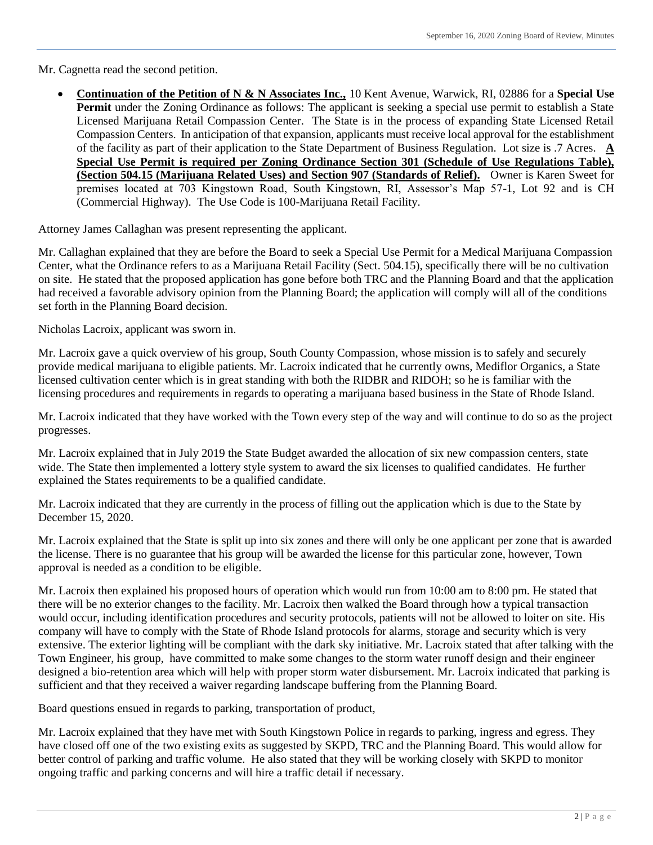Mr. Cagnetta read the second petition.

 **Continuation of the Petition of N & N Associates Inc.,** 10 Kent Avenue, Warwick, RI, 02886 for a **Special Use Permit** under the Zoning Ordinance as follows: The applicant is seeking a special use permit to establish a State Licensed Marijuana Retail Compassion Center. The State is in the process of expanding State Licensed Retail Compassion Centers. In anticipation of that expansion, applicants must receive local approval for the establishment of the facility as part of their application to the State Department of Business Regulation. Lot size is .7 Acres. **A Special Use Permit is required per Zoning Ordinance Section 301 (Schedule of Use Regulations Table), (Section 504.15 (Marijuana Related Uses) and Section 907 (Standards of Relief).** Owner is Karen Sweet for premises located at 703 Kingstown Road, South Kingstown, RI, Assessor's Map 57-1, Lot 92 and is CH (Commercial Highway). The Use Code is 100-Marijuana Retail Facility.

Attorney James Callaghan was present representing the applicant.

Mr. Callaghan explained that they are before the Board to seek a Special Use Permit for a Medical Marijuana Compassion Center, what the Ordinance refers to as a Marijuana Retail Facility (Sect. 504.15), specifically there will be no cultivation on site. He stated that the proposed application has gone before both TRC and the Planning Board and that the application had received a favorable advisory opinion from the Planning Board; the application will comply will all of the conditions set forth in the Planning Board decision.

Nicholas Lacroix, applicant was sworn in.

Mr. Lacroix gave a quick overview of his group, South County Compassion, whose mission is to safely and securely provide medical marijuana to eligible patients. Mr. Lacroix indicated that he currently owns, Mediflor Organics, a State licensed cultivation center which is in great standing with both the RIDBR and RIDOH; so he is familiar with the licensing procedures and requirements in regards to operating a marijuana based business in the State of Rhode Island.

Mr. Lacroix indicated that they have worked with the Town every step of the way and will continue to do so as the project progresses.

Mr. Lacroix explained that in July 2019 the State Budget awarded the allocation of six new compassion centers, state wide. The State then implemented a lottery style system to award the six licenses to qualified candidates. He further explained the States requirements to be a qualified candidate.

Mr. Lacroix indicated that they are currently in the process of filling out the application which is due to the State by December 15, 2020.

Mr. Lacroix explained that the State is split up into six zones and there will only be one applicant per zone that is awarded the license. There is no guarantee that his group will be awarded the license for this particular zone, however, Town approval is needed as a condition to be eligible.

Mr. Lacroix then explained his proposed hours of operation which would run from 10:00 am to 8:00 pm. He stated that there will be no exterior changes to the facility. Mr. Lacroix then walked the Board through how a typical transaction would occur, including identification procedures and security protocols, patients will not be allowed to loiter on site. His company will have to comply with the State of Rhode Island protocols for alarms, storage and security which is very extensive. The exterior lighting will be compliant with the dark sky initiative. Mr. Lacroix stated that after talking with the Town Engineer, his group, have committed to make some changes to the storm water runoff design and their engineer designed a bio-retention area which will help with proper storm water disbursement. Mr. Lacroix indicated that parking is sufficient and that they received a waiver regarding landscape buffering from the Planning Board.

Board questions ensued in regards to parking, transportation of product,

Mr. Lacroix explained that they have met with South Kingstown Police in regards to parking, ingress and egress. They have closed off one of the two existing exits as suggested by SKPD, TRC and the Planning Board. This would allow for better control of parking and traffic volume. He also stated that they will be working closely with SKPD to monitor ongoing traffic and parking concerns and will hire a traffic detail if necessary.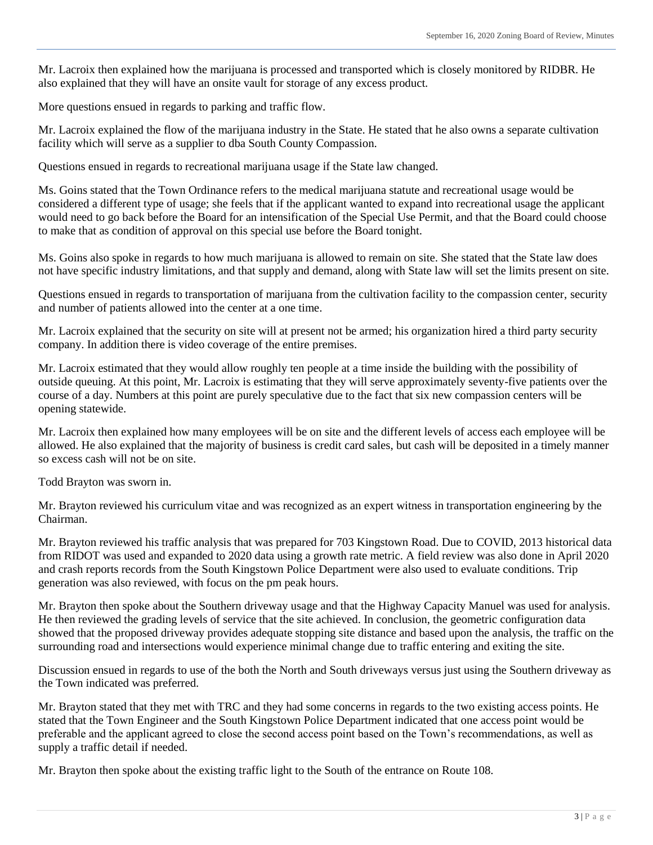Mr. Lacroix then explained how the marijuana is processed and transported which is closely monitored by RIDBR. He also explained that they will have an onsite vault for storage of any excess product.

More questions ensued in regards to parking and traffic flow.

Mr. Lacroix explained the flow of the marijuana industry in the State. He stated that he also owns a separate cultivation facility which will serve as a supplier to dba South County Compassion.

Questions ensued in regards to recreational marijuana usage if the State law changed.

Ms. Goins stated that the Town Ordinance refers to the medical marijuana statute and recreational usage would be considered a different type of usage; she feels that if the applicant wanted to expand into recreational usage the applicant would need to go back before the Board for an intensification of the Special Use Permit, and that the Board could choose to make that as condition of approval on this special use before the Board tonight.

Ms. Goins also spoke in regards to how much marijuana is allowed to remain on site. She stated that the State law does not have specific industry limitations, and that supply and demand, along with State law will set the limits present on site.

Questions ensued in regards to transportation of marijuana from the cultivation facility to the compassion center, security and number of patients allowed into the center at a one time.

Mr. Lacroix explained that the security on site will at present not be armed; his organization hired a third party security company. In addition there is video coverage of the entire premises.

Mr. Lacroix estimated that they would allow roughly ten people at a time inside the building with the possibility of outside queuing. At this point, Mr. Lacroix is estimating that they will serve approximately seventy-five patients over the course of a day. Numbers at this point are purely speculative due to the fact that six new compassion centers will be opening statewide.

Mr. Lacroix then explained how many employees will be on site and the different levels of access each employee will be allowed. He also explained that the majority of business is credit card sales, but cash will be deposited in a timely manner so excess cash will not be on site.

Todd Brayton was sworn in.

Mr. Brayton reviewed his curriculum vitae and was recognized as an expert witness in transportation engineering by the Chairman.

Mr. Brayton reviewed his traffic analysis that was prepared for 703 Kingstown Road. Due to COVID, 2013 historical data from RIDOT was used and expanded to 2020 data using a growth rate metric. A field review was also done in April 2020 and crash reports records from the South Kingstown Police Department were also used to evaluate conditions. Trip generation was also reviewed, with focus on the pm peak hours.

Mr. Brayton then spoke about the Southern driveway usage and that the Highway Capacity Manuel was used for analysis. He then reviewed the grading levels of service that the site achieved. In conclusion, the geometric configuration data showed that the proposed driveway provides adequate stopping site distance and based upon the analysis, the traffic on the surrounding road and intersections would experience minimal change due to traffic entering and exiting the site.

Discussion ensued in regards to use of the both the North and South driveways versus just using the Southern driveway as the Town indicated was preferred.

Mr. Brayton stated that they met with TRC and they had some concerns in regards to the two existing access points. He stated that the Town Engineer and the South Kingstown Police Department indicated that one access point would be preferable and the applicant agreed to close the second access point based on the Town's recommendations, as well as supply a traffic detail if needed.

Mr. Brayton then spoke about the existing traffic light to the South of the entrance on Route 108.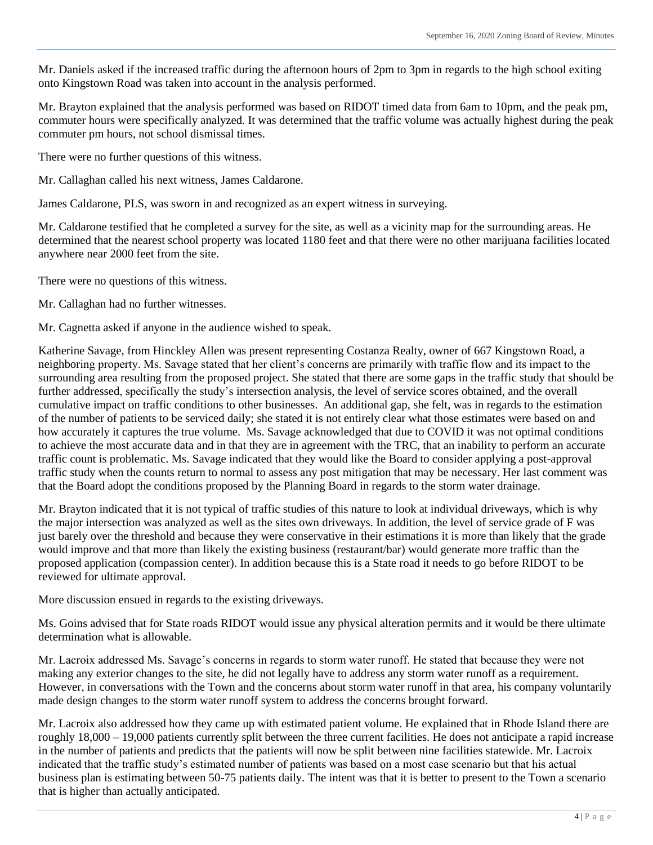Mr. Daniels asked if the increased traffic during the afternoon hours of 2pm to 3pm in regards to the high school exiting onto Kingstown Road was taken into account in the analysis performed.

Mr. Brayton explained that the analysis performed was based on RIDOT timed data from 6am to 10pm, and the peak pm, commuter hours were specifically analyzed. It was determined that the traffic volume was actually highest during the peak commuter pm hours, not school dismissal times.

There were no further questions of this witness.

Mr. Callaghan called his next witness, James Caldarone.

James Caldarone, PLS, was sworn in and recognized as an expert witness in surveying.

Mr. Caldarone testified that he completed a survey for the site, as well as a vicinity map for the surrounding areas. He determined that the nearest school property was located 1180 feet and that there were no other marijuana facilities located anywhere near 2000 feet from the site.

There were no questions of this witness.

Mr. Callaghan had no further witnesses.

Mr. Cagnetta asked if anyone in the audience wished to speak.

Katherine Savage, from Hinckley Allen was present representing Costanza Realty, owner of 667 Kingstown Road, a neighboring property. Ms. Savage stated that her client's concerns are primarily with traffic flow and its impact to the surrounding area resulting from the proposed project. She stated that there are some gaps in the traffic study that should be further addressed, specifically the study's intersection analysis, the level of service scores obtained, and the overall cumulative impact on traffic conditions to other businesses. An additional gap, she felt, was in regards to the estimation of the number of patients to be serviced daily; she stated it is not entirely clear what those estimates were based on and how accurately it captures the true volume. Ms. Savage acknowledged that due to COVID it was not optimal conditions to achieve the most accurate data and in that they are in agreement with the TRC, that an inability to perform an accurate traffic count is problematic. Ms. Savage indicated that they would like the Board to consider applying a post-approval traffic study when the counts return to normal to assess any post mitigation that may be necessary. Her last comment was that the Board adopt the conditions proposed by the Planning Board in regards to the storm water drainage.

Mr. Brayton indicated that it is not typical of traffic studies of this nature to look at individual driveways, which is why the major intersection was analyzed as well as the sites own driveways. In addition, the level of service grade of F was just barely over the threshold and because they were conservative in their estimations it is more than likely that the grade would improve and that more than likely the existing business (restaurant/bar) would generate more traffic than the proposed application (compassion center). In addition because this is a State road it needs to go before RIDOT to be reviewed for ultimate approval.

More discussion ensued in regards to the existing driveways.

Ms. Goins advised that for State roads RIDOT would issue any physical alteration permits and it would be there ultimate determination what is allowable.

Mr. Lacroix addressed Ms. Savage's concerns in regards to storm water runoff. He stated that because they were not making any exterior changes to the site, he did not legally have to address any storm water runoff as a requirement. However, in conversations with the Town and the concerns about storm water runoff in that area, his company voluntarily made design changes to the storm water runoff system to address the concerns brought forward.

Mr. Lacroix also addressed how they came up with estimated patient volume. He explained that in Rhode Island there are roughly 18,000 – 19,000 patients currently split between the three current facilities. He does not anticipate a rapid increase in the number of patients and predicts that the patients will now be split between nine facilities statewide. Mr. Lacroix indicated that the traffic study's estimated number of patients was based on a most case scenario but that his actual business plan is estimating between 50-75 patients daily. The intent was that it is better to present to the Town a scenario that is higher than actually anticipated.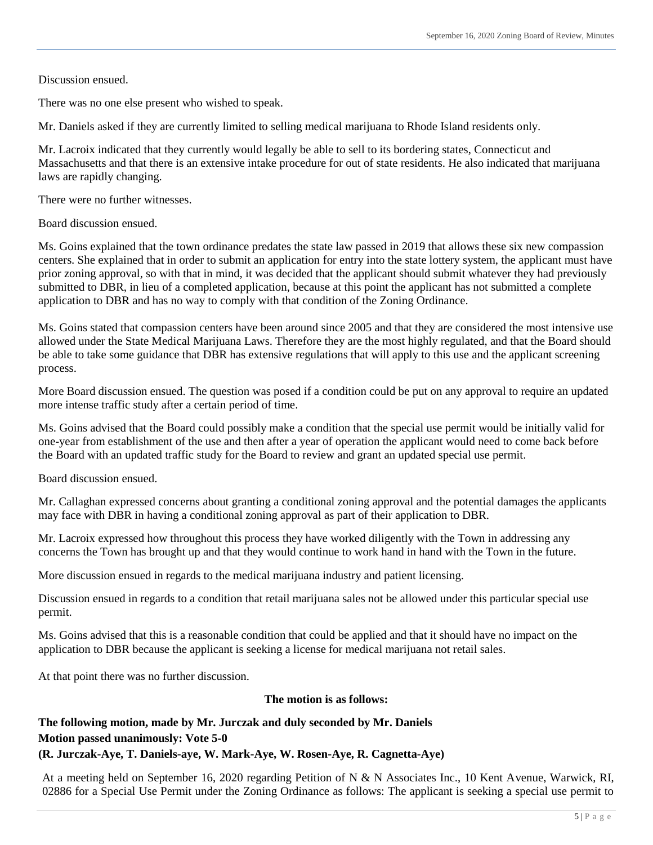Discussion ensued.

There was no one else present who wished to speak.

Mr. Daniels asked if they are currently limited to selling medical marijuana to Rhode Island residents only.

Mr. Lacroix indicated that they currently would legally be able to sell to its bordering states, Connecticut and Massachusetts and that there is an extensive intake procedure for out of state residents. He also indicated that marijuana laws are rapidly changing.

There were no further witnesses.

Board discussion ensued.

Ms. Goins explained that the town ordinance predates the state law passed in 2019 that allows these six new compassion centers. She explained that in order to submit an application for entry into the state lottery system, the applicant must have prior zoning approval, so with that in mind, it was decided that the applicant should submit whatever they had previously submitted to DBR, in lieu of a completed application, because at this point the applicant has not submitted a complete application to DBR and has no way to comply with that condition of the Zoning Ordinance.

Ms. Goins stated that compassion centers have been around since 2005 and that they are considered the most intensive use allowed under the State Medical Marijuana Laws. Therefore they are the most highly regulated, and that the Board should be able to take some guidance that DBR has extensive regulations that will apply to this use and the applicant screening process.

More Board discussion ensued. The question was posed if a condition could be put on any approval to require an updated more intense traffic study after a certain period of time.

Ms. Goins advised that the Board could possibly make a condition that the special use permit would be initially valid for one-year from establishment of the use and then after a year of operation the applicant would need to come back before the Board with an updated traffic study for the Board to review and grant an updated special use permit.

Board discussion ensued.

Mr. Callaghan expressed concerns about granting a conditional zoning approval and the potential damages the applicants may face with DBR in having a conditional zoning approval as part of their application to DBR.

Mr. Lacroix expressed how throughout this process they have worked diligently with the Town in addressing any concerns the Town has brought up and that they would continue to work hand in hand with the Town in the future.

More discussion ensued in regards to the medical marijuana industry and patient licensing.

Discussion ensued in regards to a condition that retail marijuana sales not be allowed under this particular special use permit.

Ms. Goins advised that this is a reasonable condition that could be applied and that it should have no impact on the application to DBR because the applicant is seeking a license for medical marijuana not retail sales.

At that point there was no further discussion.

## **The motion is as follows:**

# **The following motion, made by Mr. Jurczak and duly seconded by Mr. Daniels Motion passed unanimously: Vote 5-0**

#### **(R. Jurczak-Aye, T. Daniels-aye, W. Mark-Aye, W. Rosen-Aye, R. Cagnetta-Aye)**

At a meeting held on September 16, 2020 regarding Petition of N & N Associates Inc., 10 Kent Avenue, Warwick, RI, 02886 for a Special Use Permit under the Zoning Ordinance as follows: The applicant is seeking a special use permit to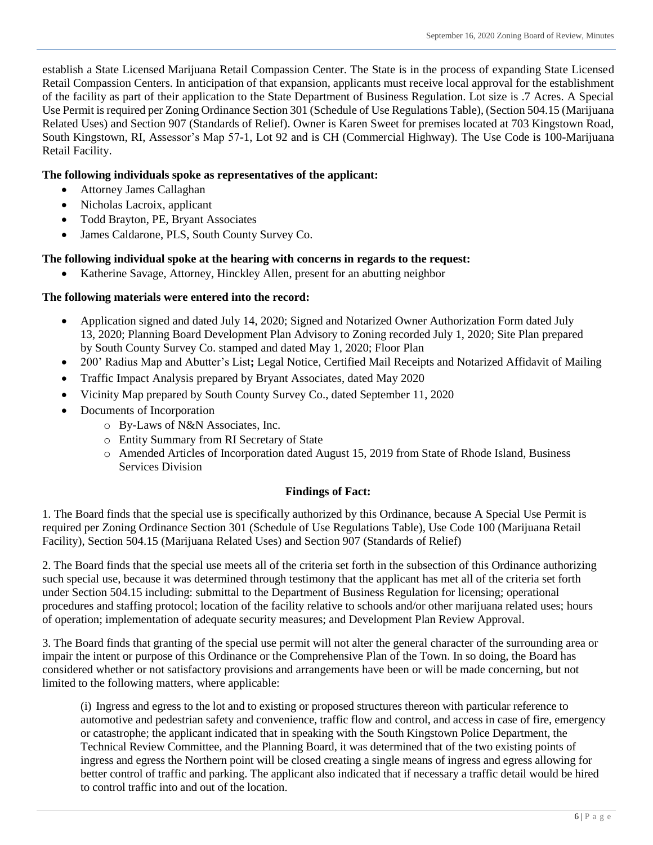establish a State Licensed Marijuana Retail Compassion Center. The State is in the process of expanding State Licensed Retail Compassion Centers. In anticipation of that expansion, applicants must receive local approval for the establishment of the facility as part of their application to the State Department of Business Regulation. Lot size is .7 Acres. A Special Use Permit is required per Zoning Ordinance Section 301 (Schedule of Use Regulations Table), (Section 504.15 (Marijuana Related Uses) and Section 907 (Standards of Relief). Owner is Karen Sweet for premises located at 703 Kingstown Road, South Kingstown, RI, Assessor's Map 57-1, Lot 92 and is CH (Commercial Highway). The Use Code is 100-Marijuana Retail Facility.

## **The following individuals spoke as representatives of the applicant:**

- Attorney James Callaghan
- Nicholas Lacroix, applicant
- Todd Brayton, PE, Bryant Associates
- James Caldarone, PLS, South County Survey Co.

# **The following individual spoke at the hearing with concerns in regards to the request:**

Katherine Savage, Attorney, Hinckley Allen, present for an abutting neighbor

# **The following materials were entered into the record:**

- Application signed and dated July 14, 2020; Signed and Notarized Owner Authorization Form dated July 13, 2020; Planning Board Development Plan Advisory to Zoning recorded July 1, 2020; Site Plan prepared by South County Survey Co. stamped and dated May 1, 2020; Floor Plan
- 200' Radius Map and Abutter's List**;** Legal Notice, Certified Mail Receipts and Notarized Affidavit of Mailing
- Traffic Impact Analysis prepared by Bryant Associates, dated May 2020
- Vicinity Map prepared by South County Survey Co., dated September 11, 2020
- Documents of Incorporation
	- o By-Laws of N&N Associates, Inc.
	- o Entity Summary from RI Secretary of State
	- o Amended Articles of Incorporation dated August 15, 2019 from State of Rhode Island, Business Services Division

## **Findings of Fact:**

1. The Board finds that the special use is specifically authorized by this Ordinance, because A Special Use Permit is required per Zoning Ordinance Section 301 (Schedule of Use Regulations Table), Use Code 100 (Marijuana Retail Facility), Section 504.15 (Marijuana Related Uses) and Section 907 (Standards of Relief)

2. The Board finds that the special use meets all of the criteria set forth in the subsection of this Ordinance authorizing such special use, because it was determined through testimony that the applicant has met all of the criteria set forth under Section 504.15 including: submittal to the Department of Business Regulation for licensing; operational procedures and staffing protocol; location of the facility relative to schools and/or other marijuana related uses; hours of operation; implementation of adequate security measures; and Development Plan Review Approval.

3. The Board finds that granting of the special use permit will not alter the general character of the surrounding area or impair the intent or purpose of this Ordinance or the Comprehensive Plan of the Town. In so doing, the Board has considered whether or not satisfactory provisions and arrangements have been or will be made concerning, but not limited to the following matters, where applicable:

(i) Ingress and egress to the lot and to existing or proposed structures thereon with particular reference to automotive and pedestrian safety and convenience, traffic flow and control, and access in case of fire, emergency or catastrophe; the applicant indicated that in speaking with the South Kingstown Police Department, the Technical Review Committee, and the Planning Board, it was determined that of the two existing points of ingress and egress the Northern point will be closed creating a single means of ingress and egress allowing for better control of traffic and parking. The applicant also indicated that if necessary a traffic detail would be hired to control traffic into and out of the location.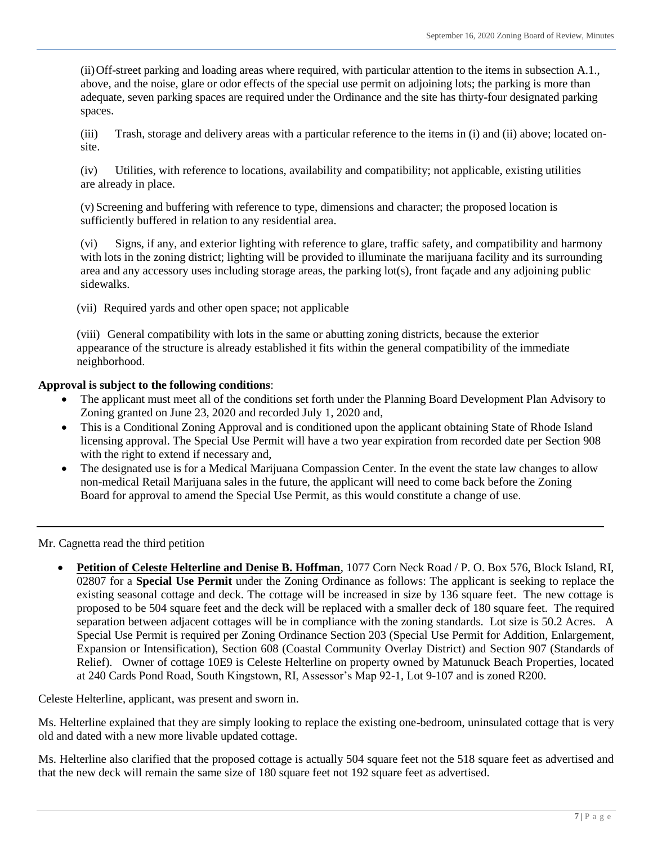(ii)Off-street parking and loading areas where required, with particular attention to the items in subsection A.1., above, and the noise, glare or odor effects of the special use permit on adjoining lots; the parking is more than adequate, seven parking spaces are required under the Ordinance and the site has thirty-four designated parking spaces.

(iii) Trash, storage and delivery areas with a particular reference to the items in (i) and (ii) above; located onsite.

(iv) Utilities, with reference to locations, availability and compatibility; not applicable, existing utilities are already in place.

(v) Screening and buffering with reference to type, dimensions and character; the proposed location is sufficiently buffered in relation to any residential area.

(vi) Signs, if any, and exterior lighting with reference to glare, traffic safety, and compatibility and harmony with lots in the zoning district; lighting will be provided to illuminate the marijuana facility and its surrounding area and any accessory uses including storage areas, the parking lot(s), front façade and any adjoining public sidewalks.

(vii) Required yards and other open space; not applicable

(viii) General compatibility with lots in the same or abutting zoning districts, because the exterior appearance of the structure is already established it fits within the general compatibility of the immediate neighborhood.

## **Approval is subject to the following conditions**:

- The applicant must meet all of the conditions set forth under the Planning Board Development Plan Advisory to Zoning granted on June 23, 2020 and recorded July 1, 2020 and,
- This is a Conditional Zoning Approval and is conditioned upon the applicant obtaining State of Rhode Island licensing approval. The Special Use Permit will have a two year expiration from recorded date per Section 908 with the right to extend if necessary and,
- The designated use is for a Medical Marijuana Compassion Center. In the event the state law changes to allow non-medical Retail Marijuana sales in the future, the applicant will need to come back before the Zoning Board for approval to amend the Special Use Permit, as this would constitute a change of use.

Mr. Cagnetta read the third petition

 **Petition of Celeste Helterline and Denise B. Hoffman**, 1077 Corn Neck Road / P. O. Box 576, Block Island, RI, 02807 for a **Special Use Permit** under the Zoning Ordinance as follows: The applicant is seeking to replace the existing seasonal cottage and deck. The cottage will be increased in size by 136 square feet. The new cottage is proposed to be 504 square feet and the deck will be replaced with a smaller deck of 180 square feet. The required separation between adjacent cottages will be in compliance with the zoning standards. Lot size is 50.2 Acres. A Special Use Permit is required per Zoning Ordinance Section 203 (Special Use Permit for Addition, Enlargement, Expansion or Intensification), Section 608 (Coastal Community Overlay District) and Section 907 (Standards of Relief). Owner of cottage 10E9 is Celeste Helterline on property owned by Matunuck Beach Properties, located at 240 Cards Pond Road, South Kingstown, RI, Assessor's Map 92-1, Lot 9-107 and is zoned R200.

Celeste Helterline, applicant, was present and sworn in.

Ms. Helterline explained that they are simply looking to replace the existing one-bedroom, uninsulated cottage that is very old and dated with a new more livable updated cottage.

Ms. Helterline also clarified that the proposed cottage is actually 504 square feet not the 518 square feet as advertised and that the new deck will remain the same size of 180 square feet not 192 square feet as advertised.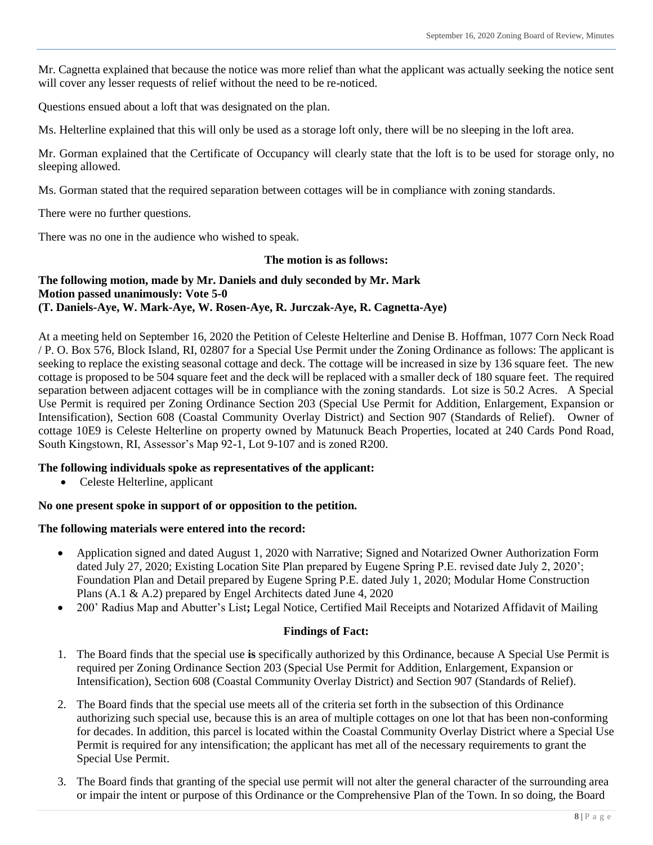Mr. Cagnetta explained that because the notice was more relief than what the applicant was actually seeking the notice sent will cover any lesser requests of relief without the need to be re-noticed.

Questions ensued about a loft that was designated on the plan.

Ms. Helterline explained that this will only be used as a storage loft only, there will be no sleeping in the loft area.

Mr. Gorman explained that the Certificate of Occupancy will clearly state that the loft is to be used for storage only, no sleeping allowed.

Ms. Gorman stated that the required separation between cottages will be in compliance with zoning standards.

There were no further questions.

There was no one in the audience who wished to speak.

#### **The motion is as follows:**

## **The following motion, made by Mr. Daniels and duly seconded by Mr. Mark Motion passed unanimously: Vote 5-0 (T. Daniels-Aye, W. Mark-Aye, W. Rosen-Aye, R. Jurczak-Aye, R. Cagnetta-Aye)**

At a meeting held on September 16, 2020 the Petition of Celeste Helterline and Denise B. Hoffman, 1077 Corn Neck Road / P. O. Box 576, Block Island, RI, 02807 for a Special Use Permit under the Zoning Ordinance as follows: The applicant is seeking to replace the existing seasonal cottage and deck. The cottage will be increased in size by 136 square feet. The new cottage is proposed to be 504 square feet and the deck will be replaced with a smaller deck of 180 square feet. The required separation between adjacent cottages will be in compliance with the zoning standards. Lot size is 50.2 Acres. A Special Use Permit is required per Zoning Ordinance Section 203 (Special Use Permit for Addition, Enlargement, Expansion or Intensification), Section 608 (Coastal Community Overlay District) and Section 907 (Standards of Relief). Owner of cottage 10E9 is Celeste Helterline on property owned by Matunuck Beach Properties, located at 240 Cards Pond Road, South Kingstown, RI, Assessor's Map 92-1, Lot 9-107 and is zoned R200.

#### **The following individuals spoke as representatives of the applicant:**

Celeste Helterline, applicant

#### **No one present spoke in support of or opposition to the petition.**

#### **The following materials were entered into the record:**

- Application signed and dated August 1, 2020 with Narrative; Signed and Notarized Owner Authorization Form dated July 27, 2020; Existing Location Site Plan prepared by Eugene Spring P.E. revised date July 2, 2020'; Foundation Plan and Detail prepared by Eugene Spring P.E. dated July 1, 2020; Modular Home Construction Plans (A.1 & A.2) prepared by Engel Architects dated June 4, 2020
- 200' Radius Map and Abutter's List**;** Legal Notice, Certified Mail Receipts and Notarized Affidavit of Mailing

#### **Findings of Fact:**

- 1. The Board finds that the special use **is** specifically authorized by this Ordinance, because A Special Use Permit is required per Zoning Ordinance Section 203 (Special Use Permit for Addition, Enlargement, Expansion or Intensification), Section 608 (Coastal Community Overlay District) and Section 907 (Standards of Relief).
- 2. The Board finds that the special use meets all of the criteria set forth in the subsection of this Ordinance authorizing such special use, because this is an area of multiple cottages on one lot that has been non-conforming for decades. In addition, this parcel is located within the Coastal Community Overlay District where a Special Use Permit is required for any intensification; the applicant has met all of the necessary requirements to grant the Special Use Permit.
- 3. The Board finds that granting of the special use permit will not alter the general character of the surrounding area or impair the intent or purpose of this Ordinance or the Comprehensive Plan of the Town. In so doing, the Board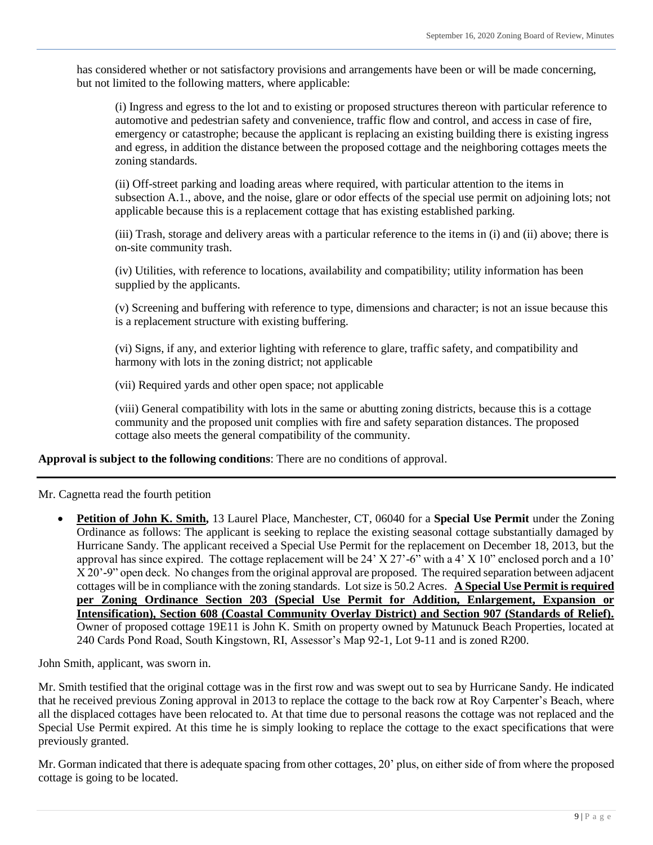has considered whether or not satisfactory provisions and arrangements have been or will be made concerning, but not limited to the following matters, where applicable:

(i) Ingress and egress to the lot and to existing or proposed structures thereon with particular reference to automotive and pedestrian safety and convenience, traffic flow and control, and access in case of fire, emergency or catastrophe; because the applicant is replacing an existing building there is existing ingress and egress, in addition the distance between the proposed cottage and the neighboring cottages meets the zoning standards.

(ii) Off-street parking and loading areas where required, with particular attention to the items in subsection A.1., above, and the noise, glare or odor effects of the special use permit on adjoining lots; not applicable because this is a replacement cottage that has existing established parking.

(iii) Trash, storage and delivery areas with a particular reference to the items in (i) and (ii) above; there is on-site community trash.

(iv) Utilities, with reference to locations, availability and compatibility; utility information has been supplied by the applicants.

(v) Screening and buffering with reference to type, dimensions and character; is not an issue because this is a replacement structure with existing buffering.

(vi) Signs, if any, and exterior lighting with reference to glare, traffic safety, and compatibility and harmony with lots in the zoning district; not applicable

(vii) Required yards and other open space; not applicable

(viii) General compatibility with lots in the same or abutting zoning districts, because this is a cottage community and the proposed unit complies with fire and safety separation distances. The proposed cottage also meets the general compatibility of the community.

**Approval is subject to the following conditions**: There are no conditions of approval.

Mr. Cagnetta read the fourth petition

 **Petition of John K. Smith,** 13 Laurel Place, Manchester, CT, 06040 for a **Special Use Permit** under the Zoning Ordinance as follows: The applicant is seeking to replace the existing seasonal cottage substantially damaged by Hurricane Sandy. The applicant received a Special Use Permit for the replacement on December 18, 2013, but the approval has since expired. The cottage replacement will be 24' X 27'-6" with a 4' X 10" enclosed porch and a 10' X 20'-9" open deck. No changes from the original approval are proposed. The required separation between adjacent cottages will be in compliance with the zoning standards. Lot size is 50.2 Acres. **A Special Use Permit is required per Zoning Ordinance Section 203 (Special Use Permit for Addition, Enlargement, Expansion or Intensification), Section 608 (Coastal Community Overlay District) and Section 907 (Standards of Relief).** Owner of proposed cottage 19E11 is John K. Smith on property owned by Matunuck Beach Properties, located at 240 Cards Pond Road, South Kingstown, RI, Assessor's Map 92-1, Lot 9-11 and is zoned R200.

John Smith, applicant, was sworn in.

Mr. Smith testified that the original cottage was in the first row and was swept out to sea by Hurricane Sandy. He indicated that he received previous Zoning approval in 2013 to replace the cottage to the back row at Roy Carpenter's Beach, where all the displaced cottages have been relocated to. At that time due to personal reasons the cottage was not replaced and the Special Use Permit expired. At this time he is simply looking to replace the cottage to the exact specifications that were previously granted.

Mr. Gorman indicated that there is adequate spacing from other cottages, 20' plus, on either side of from where the proposed cottage is going to be located.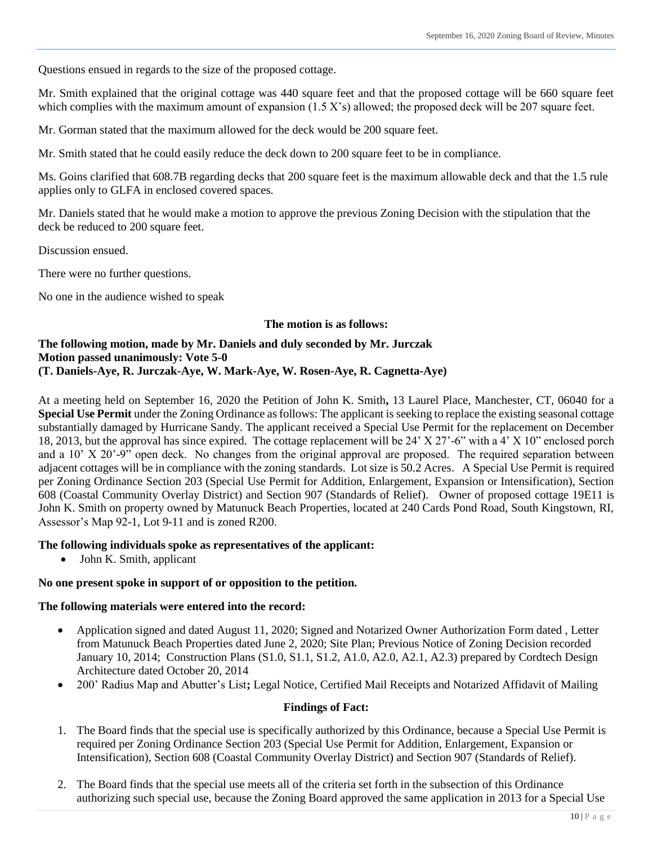Questions ensued in regards to the size of the proposed cottage.

Mr. Smith explained that the original cottage was 440 square feet and that the proposed cottage will be 660 square feet which complies with the maximum amount of expansion  $(1.5 X's)$  allowed; the proposed deck will be 207 square feet.

Mr. Gorman stated that the maximum allowed for the deck would be 200 square feet.

Mr. Smith stated that he could easily reduce the deck down to 200 square feet to be in compliance.

Ms. Goins clarified that 608.7B regarding decks that 200 square feet is the maximum allowable deck and that the 1.5 rule applies only to GLFA in enclosed covered spaces.

Mr. Daniels stated that he would make a motion to approve the previous Zoning Decision with the stipulation that the deck be reduced to 200 square feet.

Discussion ensued.

There were no further questions.

No one in the audience wished to speak

#### **The motion is as follows:**

## **The following motion, made by Mr. Daniels and duly seconded by Mr. Jurczak Motion passed unanimously: Vote 5-0 (T. Daniels-Aye, R. Jurczak-Aye, W. Mark-Aye, W. Rosen-Aye, R. Cagnetta-Aye)**

At a meeting held on September 16, 2020 the Petition of John K. Smith**,** 13 Laurel Place, Manchester, CT, 06040 for a **Special Use Permit** under the Zoning Ordinance as follows: The applicant is seeking to replace the existing seasonal cottage substantially damaged by Hurricane Sandy. The applicant received a Special Use Permit for the replacement on December 18, 2013, but the approval has since expired. The cottage replacement will be 24' X 27'-6" with a 4' X 10" enclosed porch and a 10' X 20'-9" open deck. No changes from the original approval are proposed. The required separation between adjacent cottages will be in compliance with the zoning standards. Lot size is 50.2 Acres. A Special Use Permit is required per Zoning Ordinance Section 203 (Special Use Permit for Addition, Enlargement, Expansion or Intensification), Section 608 (Coastal Community Overlay District) and Section 907 (Standards of Relief). Owner of proposed cottage 19E11 is John K. Smith on property owned by Matunuck Beach Properties, located at 240 Cards Pond Road, South Kingstown, RI, Assessor's Map 92-1, Lot 9-11 and is zoned R200.

## **The following individuals spoke as representatives of the applicant:**

• John K. Smith, applicant

#### **No one present spoke in support of or opposition to the petition.**

#### **The following materials were entered into the record:**

- Application signed and dated August 11, 2020; Signed and Notarized Owner Authorization Form dated, Letter from Matunuck Beach Properties dated June 2, 2020; Site Plan; Previous Notice of Zoning Decision recorded January 10, 2014; Construction Plans (S1.0, S1.1, S1.2, A1.0, A2.0, A2.1, A2.3) prepared by Cordtech Design Architecture dated October 20, 2014
- 200' Radius Map and Abutter's List**;** Legal Notice, Certified Mail Receipts and Notarized Affidavit of Mailing

#### **Findings of Fact:**

- 1. The Board finds that the special use is specifically authorized by this Ordinance, because a Special Use Permit is required per Zoning Ordinance Section 203 (Special Use Permit for Addition, Enlargement, Expansion or Intensification), Section 608 (Coastal Community Overlay District) and Section 907 (Standards of Relief).
- 2. The Board finds that the special use meets all of the criteria set forth in the subsection of this Ordinance authorizing such special use, because the Zoning Board approved the same application in 2013 for a Special Use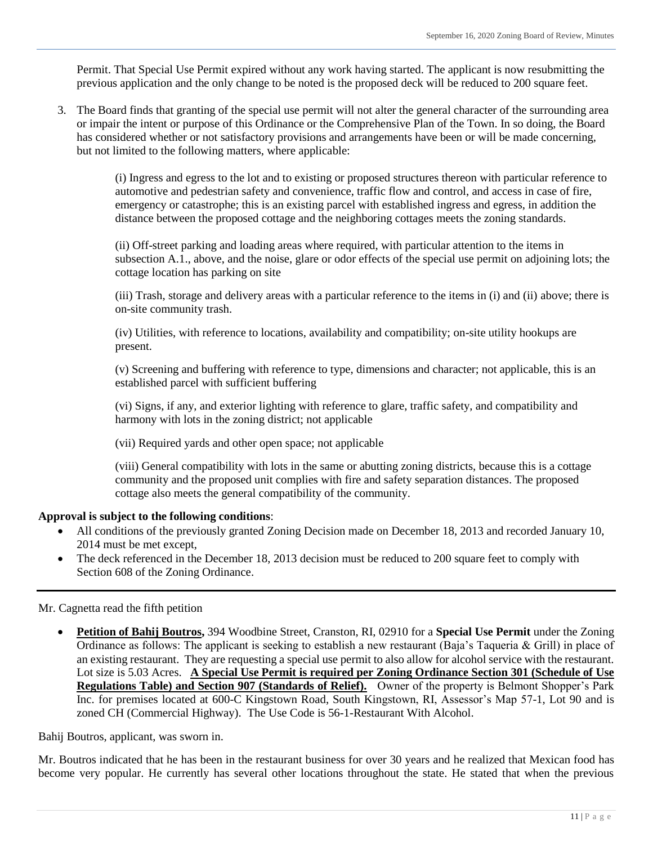Permit. That Special Use Permit expired without any work having started. The applicant is now resubmitting the previous application and the only change to be noted is the proposed deck will be reduced to 200 square feet.

3. The Board finds that granting of the special use permit will not alter the general character of the surrounding area or impair the intent or purpose of this Ordinance or the Comprehensive Plan of the Town. In so doing, the Board has considered whether or not satisfactory provisions and arrangements have been or will be made concerning, but not limited to the following matters, where applicable:

> (i) Ingress and egress to the lot and to existing or proposed structures thereon with particular reference to automotive and pedestrian safety and convenience, traffic flow and control, and access in case of fire, emergency or catastrophe; this is an existing parcel with established ingress and egress, in addition the distance between the proposed cottage and the neighboring cottages meets the zoning standards.

> (ii) Off-street parking and loading areas where required, with particular attention to the items in subsection A.1., above, and the noise, glare or odor effects of the special use permit on adjoining lots; the cottage location has parking on site

> (iii) Trash, storage and delivery areas with a particular reference to the items in (i) and (ii) above; there is on-site community trash.

(iv) Utilities, with reference to locations, availability and compatibility; on-site utility hookups are present.

(v) Screening and buffering with reference to type, dimensions and character; not applicable, this is an established parcel with sufficient buffering

(vi) Signs, if any, and exterior lighting with reference to glare, traffic safety, and compatibility and harmony with lots in the zoning district; not applicable

(vii) Required yards and other open space; not applicable

(viii) General compatibility with lots in the same or abutting zoning districts, because this is a cottage community and the proposed unit complies with fire and safety separation distances. The proposed cottage also meets the general compatibility of the community.

## **Approval is subject to the following conditions**:

- All conditions of the previously granted Zoning Decision made on December 18, 2013 and recorded January 10, 2014 must be met except,
- The deck referenced in the December 18, 2013 decision must be reduced to 200 square feet to comply with Section 608 of the Zoning Ordinance.

## Mr. Cagnetta read the fifth petition

 **Petition of Bahij Boutros,** 394 Woodbine Street, Cranston, RI, 02910 for a **Special Use Permit** under the Zoning Ordinance as follows: The applicant is seeking to establish a new restaurant (Baja's Taqueria & Grill) in place of an existing restaurant. They are requesting a special use permit to also allow for alcohol service with the restaurant. Lot size is 5.03 Acres. **A Special Use Permit is required per Zoning Ordinance Section 301 (Schedule of Use Regulations Table) and Section 907 (Standards of Relief).** Owner of the property is Belmont Shopper's Park Inc. for premises located at 600-C Kingstown Road, South Kingstown, RI, Assessor's Map 57-1, Lot 90 and is zoned CH (Commercial Highway). The Use Code is 56-1-Restaurant With Alcohol.

Bahij Boutros, applicant, was sworn in.

Mr. Boutros indicated that he has been in the restaurant business for over 30 years and he realized that Mexican food has become very popular. He currently has several other locations throughout the state. He stated that when the previous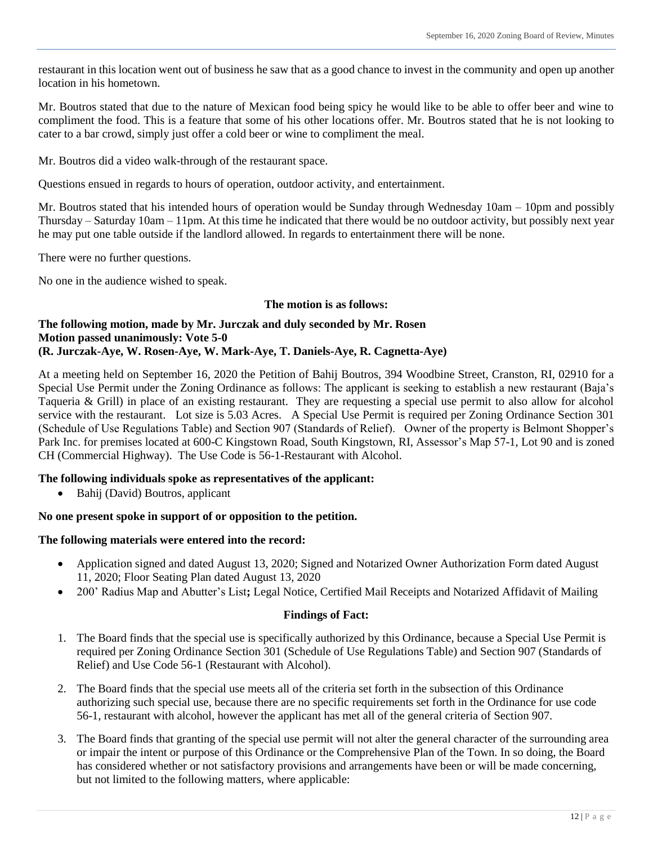restaurant in this location went out of business he saw that as a good chance to invest in the community and open up another location in his hometown.

Mr. Boutros stated that due to the nature of Mexican food being spicy he would like to be able to offer beer and wine to compliment the food. This is a feature that some of his other locations offer. Mr. Boutros stated that he is not looking to cater to a bar crowd, simply just offer a cold beer or wine to compliment the meal.

Mr. Boutros did a video walk-through of the restaurant space.

Questions ensued in regards to hours of operation, outdoor activity, and entertainment.

Mr. Boutros stated that his intended hours of operation would be Sunday through Wednesday 10am – 10pm and possibly Thursday – Saturday 10am – 11pm. At this time he indicated that there would be no outdoor activity, but possibly next year he may put one table outside if the landlord allowed. In regards to entertainment there will be none.

There were no further questions.

No one in the audience wished to speak.

#### **The motion is as follows:**

## **The following motion, made by Mr. Jurczak and duly seconded by Mr. Rosen Motion passed unanimously: Vote 5-0 (R. Jurczak-Aye, W. Rosen-Aye, W. Mark-Aye, T. Daniels-Aye, R. Cagnetta-Aye)**

At a meeting held on September 16, 2020 the Petition of Bahij Boutros, 394 Woodbine Street, Cranston, RI, 02910 for a Special Use Permit under the Zoning Ordinance as follows: The applicant is seeking to establish a new restaurant (Baja's Taqueria & Grill) in place of an existing restaurant. They are requesting a special use permit to also allow for alcohol service with the restaurant. Lot size is 5.03 Acres. A Special Use Permit is required per Zoning Ordinance Section 301 (Schedule of Use Regulations Table) and Section 907 (Standards of Relief). Owner of the property is Belmont Shopper's Park Inc. for premises located at 600-C Kingstown Road, South Kingstown, RI, Assessor's Map 57-1, Lot 90 and is zoned CH (Commercial Highway). The Use Code is 56-1-Restaurant with Alcohol.

## **The following individuals spoke as representatives of the applicant:**

Bahij (David) Boutros, applicant

## **No one present spoke in support of or opposition to the petition.**

#### **The following materials were entered into the record:**

- Application signed and dated August 13, 2020; Signed and Notarized Owner Authorization Form dated August 11, 2020; Floor Seating Plan dated August 13, 2020
- 200' Radius Map and Abutter's List**;** Legal Notice, Certified Mail Receipts and Notarized Affidavit of Mailing

## **Findings of Fact:**

- 1. The Board finds that the special use is specifically authorized by this Ordinance, because a Special Use Permit is required per Zoning Ordinance Section 301 (Schedule of Use Regulations Table) and Section 907 (Standards of Relief) and Use Code 56-1 (Restaurant with Alcohol).
- 2. The Board finds that the special use meets all of the criteria set forth in the subsection of this Ordinance authorizing such special use, because there are no specific requirements set forth in the Ordinance for use code 56-1, restaurant with alcohol, however the applicant has met all of the general criteria of Section 907.
- 3. The Board finds that granting of the special use permit will not alter the general character of the surrounding area or impair the intent or purpose of this Ordinance or the Comprehensive Plan of the Town. In so doing, the Board has considered whether or not satisfactory provisions and arrangements have been or will be made concerning, but not limited to the following matters, where applicable: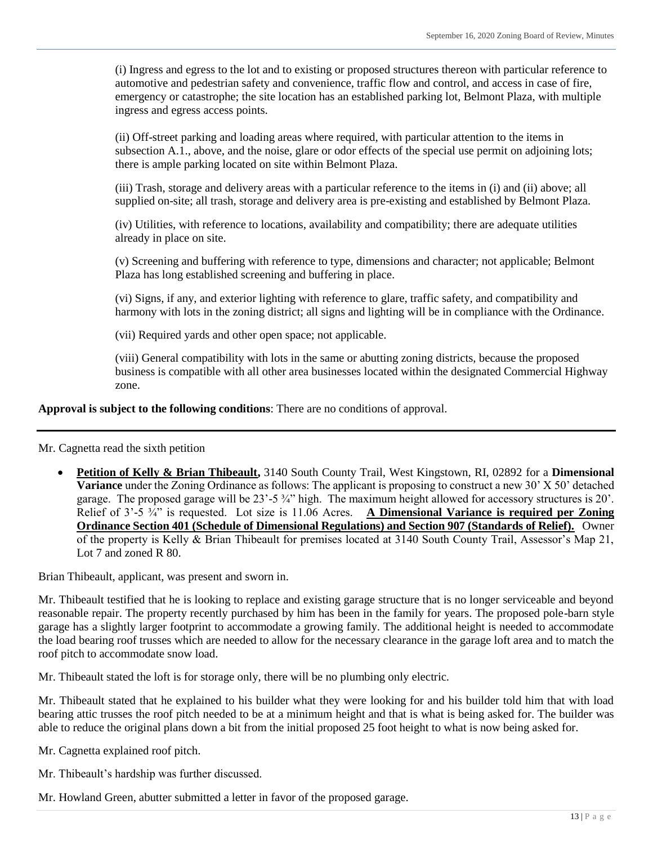(i) Ingress and egress to the lot and to existing or proposed structures thereon with particular reference to automotive and pedestrian safety and convenience, traffic flow and control, and access in case of fire, emergency or catastrophe; the site location has an established parking lot, Belmont Plaza, with multiple ingress and egress access points.

(ii) Off-street parking and loading areas where required, with particular attention to the items in subsection A.1., above, and the noise, glare or odor effects of the special use permit on adjoining lots; there is ample parking located on site within Belmont Plaza.

(iii) Trash, storage and delivery areas with a particular reference to the items in (i) and (ii) above; all supplied on-site; all trash, storage and delivery area is pre-existing and established by Belmont Plaza.

(iv) Utilities, with reference to locations, availability and compatibility; there are adequate utilities already in place on site.

(v) Screening and buffering with reference to type, dimensions and character; not applicable; Belmont Plaza has long established screening and buffering in place.

(vi) Signs, if any, and exterior lighting with reference to glare, traffic safety, and compatibility and harmony with lots in the zoning district; all signs and lighting will be in compliance with the Ordinance.

(vii) Required yards and other open space; not applicable.

(viii) General compatibility with lots in the same or abutting zoning districts, because the proposed business is compatible with all other area businesses located within the designated Commercial Highway zone.

**Approval is subject to the following conditions**: There are no conditions of approval.

Mr. Cagnetta read the sixth petition

 **Petition of Kelly & Brian Thibeault,** 3140 South County Trail, West Kingstown, RI, 02892 for a **Dimensional Variance** under the Zoning Ordinance as follows: The applicant is proposing to construct a new 30' X 50' detached garage. The proposed garage will be 23'-5 ¾" high. The maximum height allowed for accessory structures is 20'. Relief of 3'-5 ¾" is requested. Lot size is 11.06 Acres. **A Dimensional Variance is required per Zoning Ordinance Section 401 (Schedule of Dimensional Regulations) and Section 907 (Standards of Relief).** Owner of the property is Kelly & Brian Thibeault for premises located at 3140 South County Trail, Assessor's Map 21, Lot 7 and zoned R 80.

Brian Thibeault, applicant, was present and sworn in.

Mr. Thibeault testified that he is looking to replace and existing garage structure that is no longer serviceable and beyond reasonable repair. The property recently purchased by him has been in the family for years. The proposed pole-barn style garage has a slightly larger footprint to accommodate a growing family. The additional height is needed to accommodate the load bearing roof trusses which are needed to allow for the necessary clearance in the garage loft area and to match the roof pitch to accommodate snow load.

Mr. Thibeault stated the loft is for storage only, there will be no plumbing only electric.

Mr. Thibeault stated that he explained to his builder what they were looking for and his builder told him that with load bearing attic trusses the roof pitch needed to be at a minimum height and that is what is being asked for. The builder was able to reduce the original plans down a bit from the initial proposed 25 foot height to what is now being asked for.

Mr. Cagnetta explained roof pitch.

Mr. Thibeault's hardship was further discussed.

Mr. Howland Green, abutter submitted a letter in favor of the proposed garage.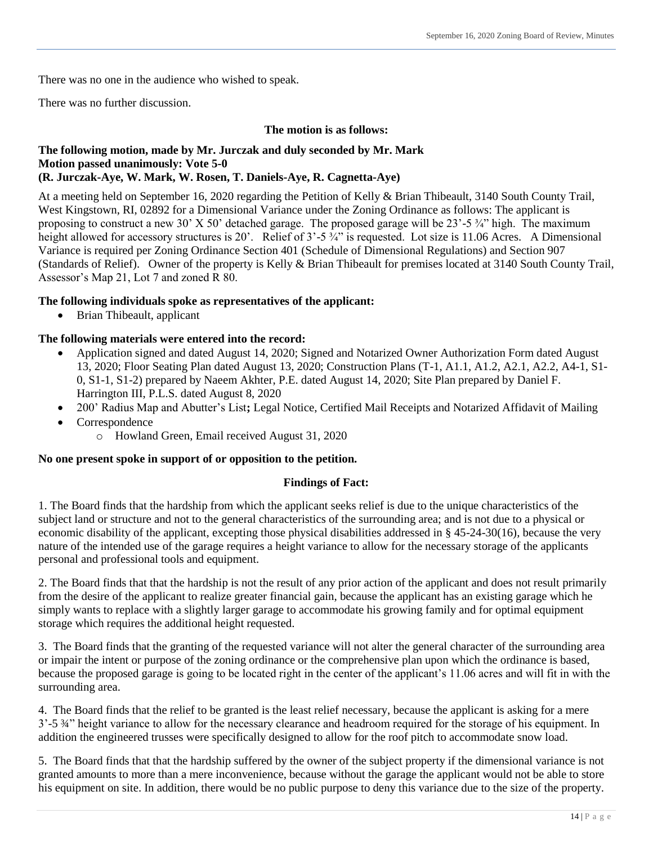There was no one in the audience who wished to speak.

There was no further discussion.

## **The motion is as follows:**

## **The following motion, made by Mr. Jurczak and duly seconded by Mr. Mark Motion passed unanimously: Vote 5-0 (R. Jurczak-Aye, W. Mark, W. Rosen, T. Daniels-Aye, R. Cagnetta-Aye)**

At a meeting held on September 16, 2020 regarding the Petition of Kelly & Brian Thibeault, 3140 South County Trail, West Kingstown, RI, 02892 for a Dimensional Variance under the Zoning Ordinance as follows: The applicant is proposing to construct a new 30' X 50' detached garage. The proposed garage will be 23'-5 ¾" high. The maximum height allowed for accessory structures is 20'. Relief of  $3'-5\frac{3}{4}$ " is requested. Lot size is 11.06 Acres. A Dimensional Variance is required per Zoning Ordinance Section 401 (Schedule of Dimensional Regulations) and Section 907 (Standards of Relief). Owner of the property is Kelly & Brian Thibeault for premises located at 3140 South County Trail, Assessor's Map 21, Lot 7 and zoned R 80.

## **The following individuals spoke as representatives of the applicant:**

Brian Thibeault, applicant

## **The following materials were entered into the record:**

- Application signed and dated August 14, 2020; Signed and Notarized Owner Authorization Form dated August 13, 2020; Floor Seating Plan dated August 13, 2020; Construction Plans (T-1, A1.1, A1.2, A2.1, A2.2, A4-1, S1- 0, S1-1, S1-2) prepared by Naeem Akhter, P.E. dated August 14, 2020; Site Plan prepared by Daniel F. Harrington III, P.L.S. dated August 8, 2020
- 200' Radius Map and Abutter's List**;** Legal Notice, Certified Mail Receipts and Notarized Affidavit of Mailing
- Correspondence
	- o Howland Green, Email received August 31, 2020

## **No one present spoke in support of or opposition to the petition.**

## **Findings of Fact:**

1. The Board finds that the hardship from which the applicant seeks relief is due to the unique characteristics of the subject land or structure and not to the general characteristics of the surrounding area; and is not due to a physical or economic disability of the applicant, excepting those physical disabilities addressed in § 45-24-30(16), because the very nature of the intended use of the garage requires a height variance to allow for the necessary storage of the applicants personal and professional tools and equipment.

2. The Board finds that that the hardship is not the result of any prior action of the applicant and does not result primarily from the desire of the applicant to realize greater financial gain, because the applicant has an existing garage which he simply wants to replace with a slightly larger garage to accommodate his growing family and for optimal equipment storage which requires the additional height requested.

3. The Board finds that the granting of the requested variance will not alter the general character of the surrounding area or impair the intent or purpose of the zoning ordinance or the comprehensive plan upon which the ordinance is based, because the proposed garage is going to be located right in the center of the applicant's 11.06 acres and will fit in with the surrounding area.

4. The Board finds that the relief to be granted is the least relief necessary, because the applicant is asking for a mere 3'-5 ¾" height variance to allow for the necessary clearance and headroom required for the storage of his equipment. In addition the engineered trusses were specifically designed to allow for the roof pitch to accommodate snow load.

5. The Board finds that that the hardship suffered by the owner of the subject property if the dimensional variance is not granted amounts to more than a mere inconvenience, because without the garage the applicant would not be able to store his equipment on site. In addition, there would be no public purpose to deny this variance due to the size of the property.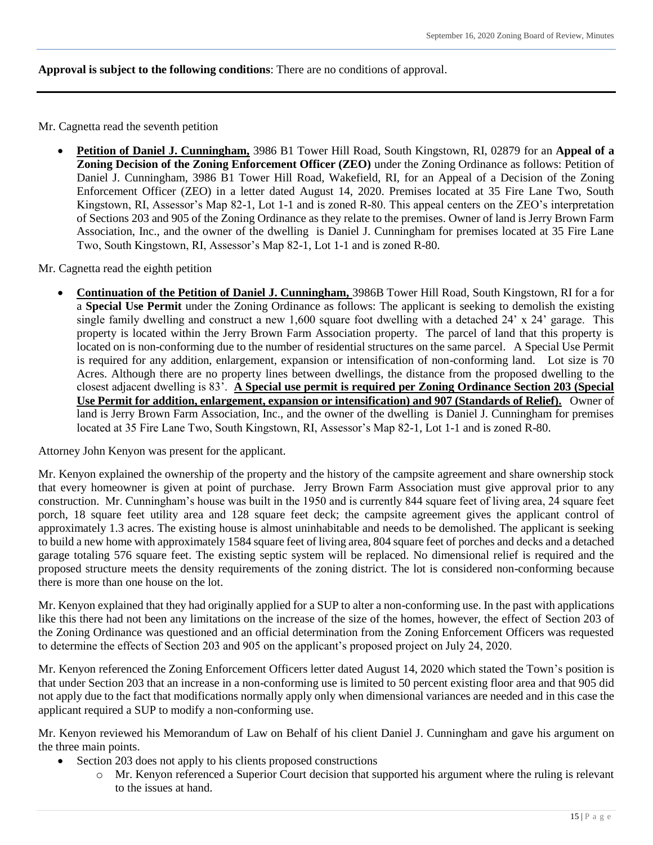**Approval is subject to the following conditions**: There are no conditions of approval.

Mr. Cagnetta read the seventh petition

 **Petition of Daniel J. Cunningham,** 3986 B1 Tower Hill Road, South Kingstown, RI, 02879 for an **Appeal of a Zoning Decision of the Zoning Enforcement Officer (ZEO)** under the Zoning Ordinance as follows: Petition of Daniel J. Cunningham, 3986 B1 Tower Hill Road, Wakefield, RI, for an Appeal of a Decision of the Zoning Enforcement Officer (ZEO) in a letter dated August 14, 2020. Premises located at 35 Fire Lane Two, South Kingstown, RI, Assessor's Map 82-1, Lot 1-1 and is zoned R-80. This appeal centers on the ZEO's interpretation of Sections 203 and 905 of the Zoning Ordinance as they relate to the premises. Owner of land is Jerry Brown Farm Association, Inc., and the owner of the dwelling is Daniel J. Cunningham for premises located at 35 Fire Lane Two, South Kingstown, RI, Assessor's Map 82-1, Lot 1-1 and is zoned R-80.

Mr. Cagnetta read the eighth petition

 **Continuation of the Petition of Daniel J. Cunningham,** 3986B Tower Hill Road, South Kingstown, RI for a for a **Special Use Permit** under the Zoning Ordinance as follows: The applicant is seeking to demolish the existing single family dwelling and construct a new 1,600 square foot dwelling with a detached 24' x 24' garage. This property is located within the Jerry Brown Farm Association property. The parcel of land that this property is located on is non-conforming due to the number of residential structures on the same parcel. A Special Use Permit is required for any addition, enlargement, expansion or intensification of non-conforming land. Lot size is 70 Acres. Although there are no property lines between dwellings, the distance from the proposed dwelling to the closest adjacent dwelling is 83'. **A Special use permit is required per Zoning Ordinance Section 203 (Special Use Permit for addition, enlargement, expansion or intensification) and 907 (Standards of Relief).** Owner of land is Jerry Brown Farm Association, Inc., and the owner of the dwelling is Daniel J. Cunningham for premises located at 35 Fire Lane Two, South Kingstown, RI, Assessor's Map 82-1, Lot 1-1 and is zoned R-80.

Attorney John Kenyon was present for the applicant.

Mr. Kenyon explained the ownership of the property and the history of the campsite agreement and share ownership stock that every homeowner is given at point of purchase. Jerry Brown Farm Association must give approval prior to any construction. Mr. Cunningham's house was built in the 1950 and is currently 844 square feet of living area, 24 square feet porch, 18 square feet utility area and 128 square feet deck; the campsite agreement gives the applicant control of approximately 1.3 acres. The existing house is almost uninhabitable and needs to be demolished. The applicant is seeking to build a new home with approximately 1584 square feet of living area, 804 square feet of porches and decks and a detached garage totaling 576 square feet. The existing septic system will be replaced. No dimensional relief is required and the proposed structure meets the density requirements of the zoning district. The lot is considered non-conforming because there is more than one house on the lot.

Mr. Kenyon explained that they had originally applied for a SUP to alter a non-conforming use. In the past with applications like this there had not been any limitations on the increase of the size of the homes, however, the effect of Section 203 of the Zoning Ordinance was questioned and an official determination from the Zoning Enforcement Officers was requested to determine the effects of Section 203 and 905 on the applicant's proposed project on July 24, 2020.

Mr. Kenyon referenced the Zoning Enforcement Officers letter dated August 14, 2020 which stated the Town's position is that under Section 203 that an increase in a non-conforming use is limited to 50 percent existing floor area and that 905 did not apply due to the fact that modifications normally apply only when dimensional variances are needed and in this case the applicant required a SUP to modify a non-conforming use.

Mr. Kenyon reviewed his Memorandum of Law on Behalf of his client Daniel J. Cunningham and gave his argument on the three main points.

- Section 203 does not apply to his clients proposed constructions
	- o Mr. Kenyon referenced a Superior Court decision that supported his argument where the ruling is relevant to the issues at hand.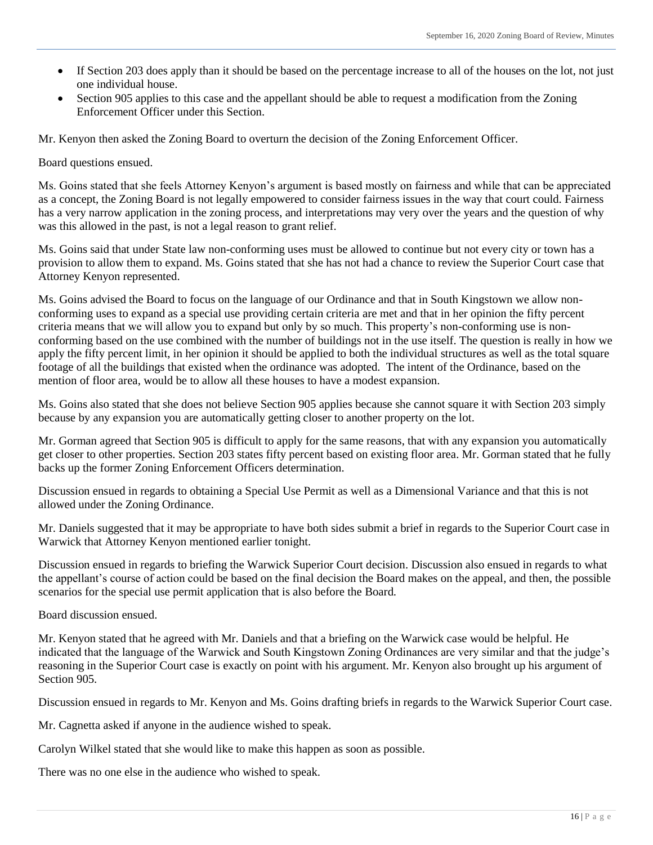- If Section 203 does apply than it should be based on the percentage increase to all of the houses on the lot, not just one individual house.
- Section 905 applies to this case and the appellant should be able to request a modification from the Zoning Enforcement Officer under this Section.

Mr. Kenyon then asked the Zoning Board to overturn the decision of the Zoning Enforcement Officer.

Board questions ensued.

Ms. Goins stated that she feels Attorney Kenyon's argument is based mostly on fairness and while that can be appreciated as a concept, the Zoning Board is not legally empowered to consider fairness issues in the way that court could. Fairness has a very narrow application in the zoning process, and interpretations may very over the years and the question of why was this allowed in the past, is not a legal reason to grant relief.

Ms. Goins said that under State law non-conforming uses must be allowed to continue but not every city or town has a provision to allow them to expand. Ms. Goins stated that she has not had a chance to review the Superior Court case that Attorney Kenyon represented.

Ms. Goins advised the Board to focus on the language of our Ordinance and that in South Kingstown we allow nonconforming uses to expand as a special use providing certain criteria are met and that in her opinion the fifty percent criteria means that we will allow you to expand but only by so much. This property's non-conforming use is nonconforming based on the use combined with the number of buildings not in the use itself. The question is really in how we apply the fifty percent limit, in her opinion it should be applied to both the individual structures as well as the total square footage of all the buildings that existed when the ordinance was adopted. The intent of the Ordinance, based on the mention of floor area, would be to allow all these houses to have a modest expansion.

Ms. Goins also stated that she does not believe Section 905 applies because she cannot square it with Section 203 simply because by any expansion you are automatically getting closer to another property on the lot.

Mr. Gorman agreed that Section 905 is difficult to apply for the same reasons, that with any expansion you automatically get closer to other properties. Section 203 states fifty percent based on existing floor area. Mr. Gorman stated that he fully backs up the former Zoning Enforcement Officers determination.

Discussion ensued in regards to obtaining a Special Use Permit as well as a Dimensional Variance and that this is not allowed under the Zoning Ordinance.

Mr. Daniels suggested that it may be appropriate to have both sides submit a brief in regards to the Superior Court case in Warwick that Attorney Kenyon mentioned earlier tonight.

Discussion ensued in regards to briefing the Warwick Superior Court decision. Discussion also ensued in regards to what the appellant's course of action could be based on the final decision the Board makes on the appeal, and then, the possible scenarios for the special use permit application that is also before the Board.

Board discussion ensued.

Mr. Kenyon stated that he agreed with Mr. Daniels and that a briefing on the Warwick case would be helpful. He indicated that the language of the Warwick and South Kingstown Zoning Ordinances are very similar and that the judge's reasoning in the Superior Court case is exactly on point with his argument. Mr. Kenyon also brought up his argument of Section 905.

Discussion ensued in regards to Mr. Kenyon and Ms. Goins drafting briefs in regards to the Warwick Superior Court case.

Mr. Cagnetta asked if anyone in the audience wished to speak.

Carolyn Wilkel stated that she would like to make this happen as soon as possible.

There was no one else in the audience who wished to speak.